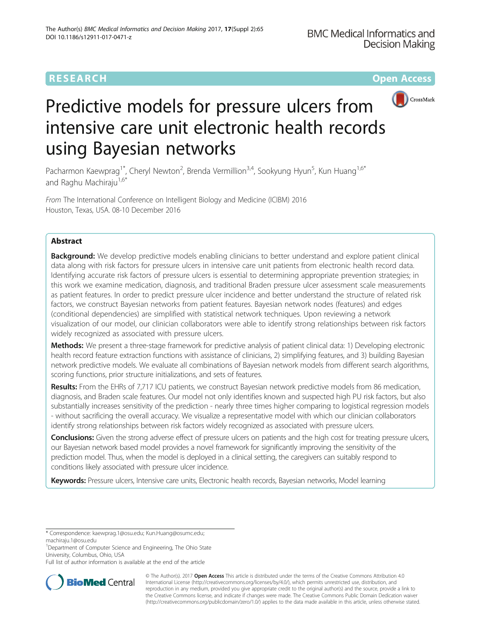



# Predictive models for pressure ulcers from intensive care unit electronic health records using Bayesian networks

Pacharmon Kaewprag<sup>1\*</sup>, Cheryl Newton<sup>2</sup>, Brenda Vermillion<sup>3,4</sup>, Sookyung Hyun<sup>5</sup>, Kun Huang<sup>1,6\*</sup> and Raghu Machiraju<sup>1,6\*</sup>

From The International Conference on Intelligent Biology and Medicine (ICIBM) 2016 Houston, Texas, USA. 08-10 December 2016

# Abstract

Background: We develop predictive models enabling clinicians to better understand and explore patient clinical data along with risk factors for pressure ulcers in intensive care unit patients from electronic health record data. Identifying accurate risk factors of pressure ulcers is essential to determining appropriate prevention strategies; in this work we examine medication, diagnosis, and traditional Braden pressure ulcer assessment scale measurements as patient features. In order to predict pressure ulcer incidence and better understand the structure of related risk factors, we construct Bayesian networks from patient features. Bayesian network nodes (features) and edges (conditional dependencies) are simplified with statistical network techniques. Upon reviewing a network visualization of our model, our clinician collaborators were able to identify strong relationships between risk factors widely recognized as associated with pressure ulcers.

Methods: We present a three-stage framework for predictive analysis of patient clinical data: 1) Developing electronic health record feature extraction functions with assistance of clinicians, 2) simplifying features, and 3) building Bayesian network predictive models. We evaluate all combinations of Bayesian network models from different search algorithms, scoring functions, prior structure initializations, and sets of features.

Results: From the EHRs of 7,717 ICU patients, we construct Bayesian network predictive models from 86 medication, diagnosis, and Braden scale features. Our model not only identifies known and suspected high PU risk factors, but also substantially increases sensitivity of the prediction - nearly three times higher comparing to logistical regression models - without sacrificing the overall accuracy. We visualize a representative model with which our clinician collaborators identify strong relationships between risk factors widely recognized as associated with pressure ulcers.

Conclusions: Given the strong adverse effect of pressure ulcers on patients and the high cost for treating pressure ulcers, our Bayesian network based model provides a novel framework for significantly improving the sensitivity of the prediction model. Thus, when the model is deployed in a clinical setting, the caregivers can suitably respond to conditions likely associated with pressure ulcer incidence.

Keywords: Pressure ulcers, Intensive care units, Electronic health records, Bayesian networks, Model learning

\* Correspondence: [kaewprag.1@osu.edu](mailto:kaewprag.1@osu.edu); [Kun.Huang@osumc.edu;](mailto:Kun.Huang@osumc.edu)

[machiraju.1@osu.edu](mailto:machiraju.1@osu.edu)

<sup>1</sup>Department of Computer Science and Engineering, The Ohio State University, Columbus, Ohio, USA

Full list of author information is available at the end of the article



© The Author(s). 2017 **Open Access** This article is distributed under the terms of the Creative Commons Attribution 4.0 International License [\(http://creativecommons.org/licenses/by/4.0/](http://creativecommons.org/licenses/by/4.0/)), which permits unrestricted use, distribution, and reproduction in any medium, provided you give appropriate credit to the original author(s) and the source, provide a link to the Creative Commons license, and indicate if changes were made. The Creative Commons Public Domain Dedication waiver [\(http://creativecommons.org/publicdomain/zero/1.0/](http://creativecommons.org/publicdomain/zero/1.0/)) applies to the data made available in this article, unless otherwise stated.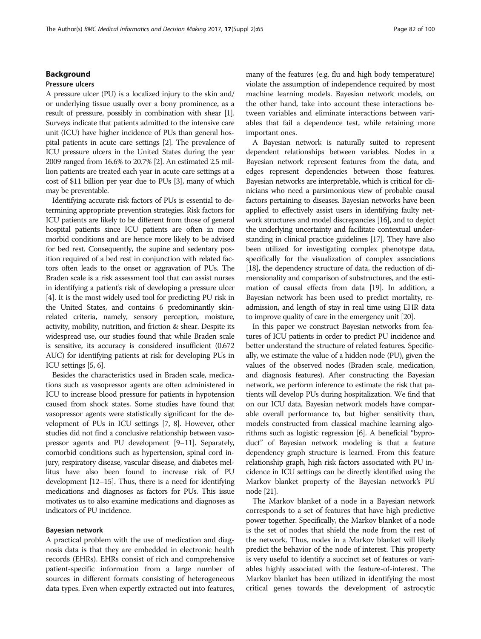### Background

#### Pressure ulcers

A pressure ulcer (PU) is a localized injury to the skin and/ or underlying tissue usually over a bony prominence, as a result of pressure, possibly in combination with shear [[1](#page-10-0)]. Surveys indicate that patients admitted to the intensive care unit (ICU) have higher incidence of PUs than general hospital patients in acute care settings [\[2](#page-10-0)]. The prevalence of ICU pressure ulcers in the United States during the year 2009 ranged from 16.6% to 20.7% [\[2](#page-10-0)]. An estimated 2.5 million patients are treated each year in acute care settings at a cost of \$11 billion per year due to PUs [\[3\]](#page-10-0), many of which may be preventable.

Identifying accurate risk factors of PUs is essential to determining appropriate prevention strategies. Risk factors for ICU patients are likely to be different from those of general hospital patients since ICU patients are often in more morbid conditions and are hence more likely to be advised for bed rest. Consequently, the supine and sedentary position required of a bed rest in conjunction with related factors often leads to the onset or aggravation of PUs. The Braden scale is a risk assessment tool that can assist nurses in identifying a patient's risk of developing a pressure ulcer [[4](#page-10-0)]. It is the most widely used tool for predicting PU risk in the United States, and contains 6 predominantly skinrelated criteria, namely, sensory perception, moisture, activity, mobility, nutrition, and friction & shear. Despite its widespread use, our studies found that while Braden scale is sensitive, its accuracy is considered insufficient (0.672 AUC) for identifying patients at risk for developing PUs in ICU settings [\[5, 6](#page-10-0)].

Besides the characteristics used in Braden scale, medications such as vasopressor agents are often administered in ICU to increase blood pressure for patients in hypotension caused from shock states. Some studies have found that vasopressor agents were statistically significant for the development of PUs in ICU settings [[7, 8\]](#page-10-0). However, other studies did not find a conclusive relationship between vasopressor agents and PU development [\[9](#page-10-0)–[11](#page-10-0)]. Separately, comorbid conditions such as hypertension, spinal cord injury, respiratory disease, vascular disease, and diabetes mellitus have also been found to increase risk of PU development [[12](#page-10-0)–[15](#page-10-0)]. Thus, there is a need for identifying medications and diagnoses as factors for PUs. This issue motivates us to also examine medications and diagnoses as indicators of PU incidence.

#### Bayesian network

A practical problem with the use of medication and diagnosis data is that they are embedded in electronic health records (EHRs). EHRs consist of rich and comprehensive patient-specific information from a large number of sources in different formats consisting of heterogeneous data types. Even when expertly extracted out into features, many of the features (e.g. flu and high body temperature) violate the assumption of independence required by most machine learning models. Bayesian network models, on the other hand, take into account these interactions between variables and eliminate interactions between variables that fail a dependence test, while retaining more important ones.

A Bayesian network is naturally suited to represent dependent relationships between variables. Nodes in a Bayesian network represent features from the data, and edges represent dependencies between those features. Bayesian networks are interpretable, which is critical for clinicians who need a parsimonious view of probable causal factors pertaining to diseases. Bayesian networks have been applied to effectively assist users in identifying faulty network structures and model discrepancies [\[16\]](#page-10-0), and to depict the underlying uncertainty and facilitate contextual understanding in clinical practice guidelines [[17](#page-10-0)]. They have also been utilized for investigating complex phenotype data, specifically for the visualization of complex associations [[18](#page-10-0)], the dependency structure of data, the reduction of dimensionality and comparison of substructures, and the estimation of causal effects from data [[19\]](#page-10-0). In addition, a Bayesian network has been used to predict mortality, readmission, and length of stay in real time using EHR data to improve quality of care in the emergency unit [[20](#page-10-0)].

In this paper we construct Bayesian networks from features of ICU patients in order to predict PU incidence and better understand the structure of related features. Specifically, we estimate the value of a hidden node (PU), given the values of the observed nodes (Braden scale, medication, and diagnosis features). After constructing the Bayesian network, we perform inference to estimate the risk that patients will develop PUs during hospitalization. We find that on our ICU data, Bayesian network models have comparable overall performance to, but higher sensitivity than, models constructed from classical machine learning algorithms such as logistic regression [[6](#page-10-0)]. A beneficial "byproduct" of Bayesian network modeling is that a feature dependency graph structure is learned. From this feature relationship graph, high risk factors associated with PU incidence in ICU settings can be directly identified using the Markov blanket property of the Bayesian network's PU node [[21](#page-10-0)].

The Markov blanket of a node in a Bayesian network corresponds to a set of features that have high predictive power together. Specifically, the Markov blanket of a node is the set of nodes that shield the node from the rest of the network. Thus, nodes in a Markov blanket will likely predict the behavior of the node of interest. This property is very useful to identify a succinct set of features or variables highly associated with the feature-of-interest. The Markov blanket has been utilized in identifying the most critical genes towards the development of astrocytic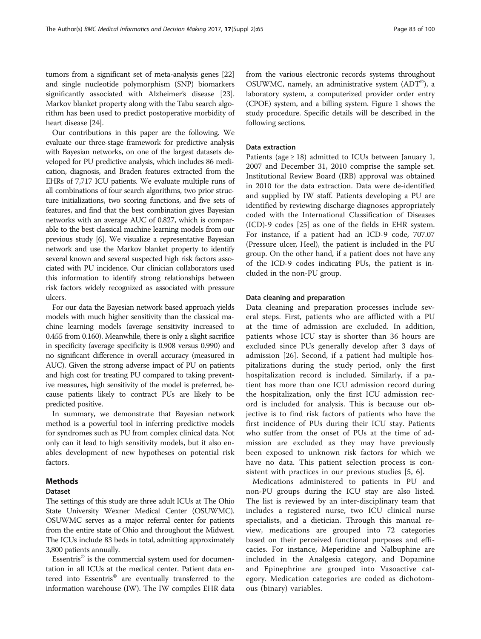<span id="page-2-0"></span>tumors from a significant set of meta-analysis genes [[22](#page-10-0)] and single nucleotide polymorphism (SNP) biomarkers significantly associated with Alzheimer's disease [[23](#page-10-0)]. Markov blanket property along with the Tabu search algorithm has been used to predict postoperative morbidity of heart disease [[24](#page-10-0)].

Our contributions in this paper are the following. We evaluate our three-stage framework for predictive analysis with Bayesian networks, on one of the largest datasets developed for PU predictive analysis, which includes 86 medication, diagnosis, and Braden features extracted from the EHRs of 7,717 ICU patients. We evaluate multiple runs of all combinations of four search algorithms, two prior structure initializations, two scoring functions, and five sets of features, and find that the best combination gives Bayesian networks with an average AUC of 0.827, which is comparable to the best classical machine learning models from our previous study [[6](#page-10-0)]. We visualize a representative Bayesian network and use the Markov blanket property to identify several known and several suspected high risk factors associated with PU incidence. Our clinician collaborators used this information to identify strong relationships between risk factors widely recognized as associated with pressure ulcers.

For our data the Bayesian network based approach yields models with much higher sensitivity than the classical machine learning models (average sensitivity increased to 0.455 from 0.160). Meanwhile, there is only a slight sacrifice in specificity (average specificity is 0.908 versus 0.990) and no significant difference in overall accuracy (measured in AUC). Given the strong adverse impact of PU on patients and high cost for treating PU compared to taking preventive measures, high sensitivity of the model is preferred, because patients likely to contract PUs are likely to be predicted positive.

In summary, we demonstrate that Bayesian network method is a powerful tool in inferring predictive models for syndromes such as PU from complex clinical data. Not only can it lead to high sensitivity models, but it also enables development of new hypotheses on potential risk factors.

#### Methods

#### Dataset

The settings of this study are three adult ICUs at The Ohio State University Wexner Medical Center (OSUWMC). OSUWMC serves as a major referral center for patients from the entire state of Ohio and throughout the Midwest. The ICUs include 83 beds in total, admitting approximately 3,800 patients annually.

Essentris $^{\circ}$  is the commercial system used for documentation in all ICUs at the medical center. Patient data entered into Essentris© are eventually transferred to the information warehouse (IW). The IW compiles EHR data from the various electronic records systems throughout OSUWMC, namely, an administrative system (ADT© ), a laboratory system, a computerized provider order entry (CPOE) system, and a billing system. Figure [1](#page-3-0) shows the study procedure. Specific details will be described in the following sections.

#### Data extraction

Patients (age  $\geq$  18) admitted to ICUs between January 1, 2007 and December 31, 2010 comprise the sample set. Institutional Review Board (IRB) approval was obtained in 2010 for the data extraction. Data were de-identified and supplied by IW staff. Patients developing a PU are identified by reviewing discharge diagnoses appropriately coded with the International Classification of Diseases (ICD)-9 codes [[25\]](#page-10-0) as one of the fields in EHR system. For instance, if a patient had an ICD-9 code, 707.07 (Pressure ulcer, Heel), the patient is included in the PU group. On the other hand, if a patient does not have any of the ICD-9 codes indicating PUs, the patient is included in the non-PU group.

#### Data cleaning and preparation

Data cleaning and preparation processes include several steps. First, patients who are afflicted with a PU at the time of admission are excluded. In addition, patients whose ICU stay is shorter than 36 hours are excluded since PUs generally develop after 3 days of admission [[26](#page-10-0)]. Second, if a patient had multiple hospitalizations during the study period, only the first hospitalization record is included. Similarly, if a patient has more than one ICU admission record during the hospitalization, only the first ICU admission record is included for analysis. This is because our objective is to find risk factors of patients who have the first incidence of PUs during their ICU stay. Patients who suffer from the onset of PUs at the time of admission are excluded as they may have previously been exposed to unknown risk factors for which we have no data. This patient selection process is con-sistent with practices in our previous studies [\[5](#page-10-0), [6](#page-10-0)].

Medications administered to patients in PU and non-PU groups during the ICU stay are also listed. The list is reviewed by an inter-disciplinary team that includes a registered nurse, two ICU clinical nurse specialists, and a dietician. Through this manual review, medications are grouped into 72 categories based on their perceived functional purposes and efficacies. For instance, Meperidine and Nalbuphine are included in the Analgesia category, and Dopamine and Epinephrine are grouped into Vasoactive category. Medication categories are coded as dichotomous (binary) variables.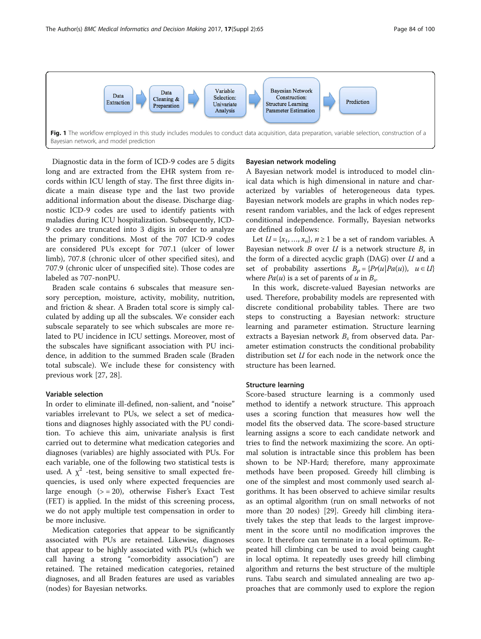<span id="page-3-0"></span>

Diagnostic data in the form of ICD-9 codes are 5 digits long and are extracted from the EHR system from records within ICU length of stay. The first three digits indicate a main disease type and the last two provide additional information about the disease. Discharge diagnostic ICD-9 codes are used to identify patients with maladies during ICU hospitalization. Subsequently, ICD-9 codes are truncated into 3 digits in order to analyze the primary conditions. Most of the 707 ICD-9 codes are considered PUs except for 707.1 (ulcer of lower limb), 707.8 (chronic ulcer of other specified sites), and 707.9 (chronic ulcer of unspecified site). Those codes are labeled as 707-nonPU.

Braden scale contains 6 subscales that measure sensory perception, moisture, activity, mobility, nutrition, and friction & shear. A Braden total score is simply calculated by adding up all the subscales. We consider each subscale separately to see which subscales are more related to PU incidence in ICU settings. Moreover, most of the subscales have significant association with PU incidence, in addition to the summed Braden scale (Braden total subscale). We include these for consistency with previous work [[27, 28\]](#page-10-0).

### Variable selection

In order to eliminate ill-defined, non-salient, and "noise" variables irrelevant to PUs, we select a set of medications and diagnoses highly associated with the PU condition. To achieve this aim, univariate analysis is first carried out to determine what medication categories and diagnoses (variables) are highly associated with PUs. For each variable, one of the following two statistical tests is used. A  $\chi^2$  -test, being sensitive to small expected frequencies, is used only where expected frequencies are large enough  $(>= 20)$ , otherwise Fisher's Exact Test (FET) is applied. In the midst of this screening process, we do not apply multiple test compensation in order to be more inclusive.

Medication categories that appear to be significantly associated with PUs are retained. Likewise, diagnoses that appear to be highly associated with PUs (which we call having a strong "comorbidity association") are retained. The retained medication categories, retained diagnoses, and all Braden features are used as variables (nodes) for Bayesian networks.

#### Bayesian network modeling

A Bayesian network model is introduced to model clinical data which is high dimensional in nature and characterized by variables of heterogeneous data types. Bayesian network models are graphs in which nodes represent random variables, and the lack of edges represent conditional independence. Formally, Bayesian networks are defined as follows:

Let  $U = \{x_1, ..., x_n\}, n \ge 1$  be a set of random variables. A Bayesian network  $B$  over  $U$  is a network structure  $B<sub>s</sub>$  in the form of a directed acyclic graph  $(DAG)$  over  $U$  and a set of probability assertions  $B_p = \{Pr(u|Pa(u)), u \in U\}$ where  $Pa(u)$  is a set of parents of u in  $B_s$ .

In this work, discrete-valued Bayesian networks are used. Therefore, probability models are represented with discrete conditional probability tables. There are two steps to constructing a Bayesian network: structure learning and parameter estimation. Structure learning extracts a Bayesian network  $B<sub>e</sub>$  from observed data. Parameter estimation constructs the conditional probability distribution set  $U$  for each node in the network once the structure has been learned.

#### Structure learning

Score-based structure learning is a commonly used method to identify a network structure. This approach uses a scoring function that measures how well the model fits the observed data. The score-based structure learning assigns a score to each candidate network and tries to find the network maximizing the score. An optimal solution is intractable since this problem has been shown to be NP-Hard; therefore, many approximate methods have been proposed. Greedy hill climbing is one of the simplest and most commonly used search algorithms. It has been observed to achieve similar results as an optimal algorithm (run on small networks of not more than 20 nodes) [\[29\]](#page-10-0). Greedy hill climbing iteratively takes the step that leads to the largest improvement in the score until no modification improves the score. It therefore can terminate in a local optimum. Repeated hill climbing can be used to avoid being caught in local optima. It repeatedly uses greedy hill climbing algorithm and returns the best structure of the multiple runs. Tabu search and simulated annealing are two approaches that are commonly used to explore the region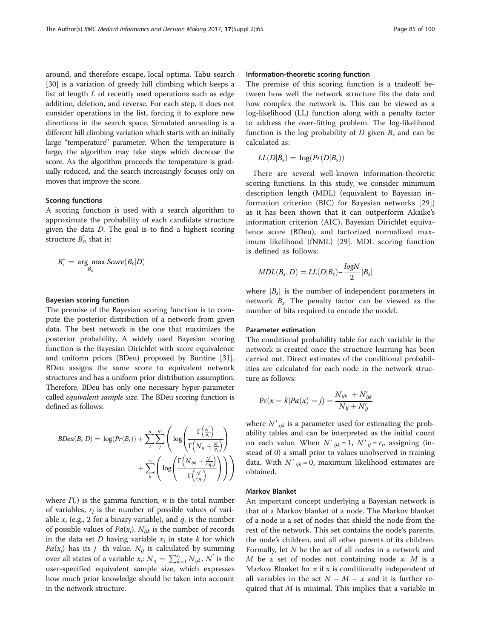around, and therefore escape, local optima. Tabu search [[30\]](#page-10-0) is a variation of greedy hill climbing which keeps a list of length L of recently used operations such as edge addition, deletion, and reverse. For each step, it does not consider operations in the list, forcing it to explore new directions in the search space. Simulated annealing is a different hill climbing variation which starts with an initially large "temperature" parameter. When the temperature is large, the algorithm may take steps which decrease the score. As the algorithm proceeds the temperature is gradually reduced, and the search increasingly focuses only on moves that improve the score.

#### Scoring functions

A scoring function is used with a search algorithm to approximate the probability of each candidate structure given the data D. The goal is to find a highest scoring structure  $B_s^*$ , that is:

$$
B_s^* = \underset{B_s}{\text{arg max}} \; Score(B_s|D)
$$

#### Bayesian scoring function

The premise of the Bayesian scoring function is to compute the posterior distribution of a network from given data. The best network is the one that maximizes the posterior probability. A widely used Bayesian scoring function is the Bayesian Dirichlet with score equivalence and uniform priors (BDeu) proposed by Buntine [\[31](#page-10-0)]. BDeu assigns the same score to equivalent network structures and has a uniform prior distribution assumption. Therefore, BDeu has only one necessary hyper-parameter called equivalent sample size. The BDeu scoring function is defined as follows:

$$
BDeu(B_s|D) = \log(Pr(B_s)) + \sum_{i}^{n} \sum_{j}^{q_i} \left( \log \left( \frac{\Gamma\left(\frac{N'}{q_i}\right)}{\Gamma\left(N_{ij} + \frac{N'}{q_i}\right)} \right) + \sum_{k}^{r_i} \left( \log \left( \frac{\Gamma\left(N_{ijk} + \frac{N'}{r_{iq_i}}\right)}{\Gamma\left(\frac{N'}{r_{iq_i}}\right)} \right) \right) \right)
$$

where  $\Gamma(.)$  is the gamma function, *n* is the total number of variables,  $r_i$  is the number of possible values of variable  $x_i$  (e.g., 2 for a binary variable), and  $q_i$  is the number of possible values of  $Pa(x_i)$ .  $N_{iik}$  is the number of records in the data set D having variable  $x_i$  in state k for which  $Pa(x_i)$  has its j -th value.  $N_{ij}$  is calculated by summing over all states of a variable  $x_i$ :  $N_{ij} = \sum_{k=1}^{r_i} N_{ijk}$ . N' is the user-specified equivalent sample size, which expresses how much prior knowledge should be taken into account in the network structure.

### Information-theoretic scoring function

The premise of this scoring function is a tradeoff between how well the network structure fits the data and how complex the network is. This can be viewed as a log-likelihood (LL) function along with a penalty factor to address the over-fitting problem. The log-likelihood function is the log probability of  $D$  given  $B_s$  and can be calculated as:

 $LL(D|B<sub>s</sub>) = log(Pr(D|B<sub>s</sub>))$ 

There are several well-known information-theoretic scoring functions. In this study, we consider minimum description length (MDL) (equivalent to Bayesian information criterion (BIC) for Bayesian networks [\[29](#page-10-0)]) as it has been shown that it can outperform Akaike's information criterion (AIC), Bayesian Dirichlet equivalence score (BDeu), and factorized normalized maximum likelihood (fNML) [[29\]](#page-10-0). MDL scoring function is defined as follows:

$$
MDL(B_s, D) = LL(D|B_s) - \frac{logN}{2}|B_s|
$$

where  $|B_s|$  is the number of independent parameters in network  $B_s$ . The penalty factor can be viewed as the number of bits required to encode the model.

#### Parameter estimation

The conditional probability table for each variable in the network is created once the structure learning has been carried out. Direct estimates of the conditional probabilities are calculated for each node in the network structure as follows:

$$
Pr(x = k | Pa(x) = j) = \frac{N_{ijk} + N'_{ijk}}{N_{ij} + N'_{ij}}
$$

where  $N'$   $_{ijk}$  is a parameter used for estimating the probability tables and can be interpreted as the initial count on each value. When  $N'_{ijk} = 1$ ,  $N'_{ij} = r_i$ , assigning (instead of 0) a small prior to values unobserved in training data. With  $N'_{ijk} = 0$ , maximum likelihood estimates are obtained.

ij

#### Markov Blanket

An important concept underlying a Bayesian network is that of a Markov blanket of a node. The Markov blanket of a node is a set of nodes that shield the node from the rest of the network. This set contains the node's parents, the node's children, and all other parents of its children. Formally, let N be the set of all nodes in a network and  $M$  be a set of nodes not containing node x. M is a Markov Blanket for  $x$  if  $x$  is conditionally independent of all variables in the set  $N - M - x$  and it is further required that  $M$  is minimal. This implies that a variable in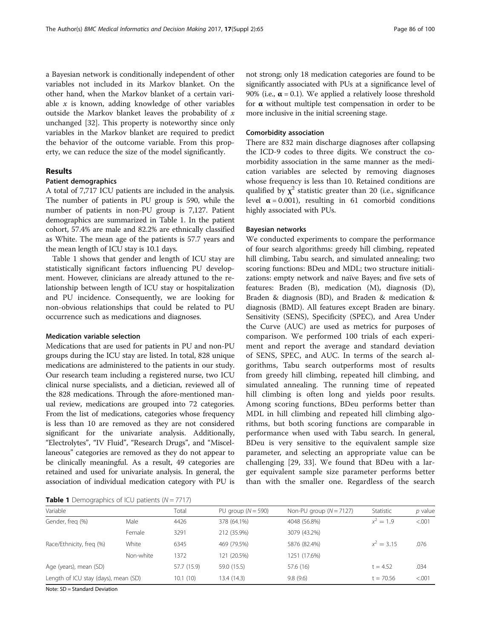a Bayesian network is conditionally independent of other variables not included in its Markov blanket. On the other hand, when the Markov blanket of a certain variable  $x$  is known, adding knowledge of other variables outside the Markov blanket leaves the probability of  $x$ unchanged [\[32](#page-10-0)]. This property is noteworthy since only variables in the Markov blanket are required to predict the behavior of the outcome variable. From this property, we can reduce the size of the model significantly.

#### Results

# Patient demographics

A total of 7,717 ICU patients are included in the analysis. The number of patients in PU group is 590, while the number of patients in non-PU group is 7,127. Patient demographics are summarized in Table 1. In the patient cohort, 57.4% are male and 82.2% are ethnically classified as White. The mean age of the patients is 57.7 years and the mean length of ICU stay is 10.1 days.

Table 1 shows that gender and length of ICU stay are statistically significant factors influencing PU development. However, clinicians are already attuned to the relationship between length of ICU stay or hospitalization and PU incidence. Consequently, we are looking for non-obvious relationships that could be related to PU occurrence such as medications and diagnoses.

#### Medication variable selection

Medications that are used for patients in PU and non-PU groups during the ICU stay are listed. In total, 828 unique medications are administered to the patients in our study. Our research team including a registered nurse, two ICU clinical nurse specialists, and a dietician, reviewed all of the 828 medications. Through the afore-mentioned manual review, medications are grouped into 72 categories. From the list of medications, categories whose frequency is less than 10 are removed as they are not considered significant for the univariate analysis. Additionally, "Electrolytes", "IV Fluid", "Research Drugs", and "Miscellaneous" categories are removed as they do not appear to be clinically meaningful. As a result, 49 categories are retained and used for univariate analysis. In general, the association of individual medication category with PU is

not strong; only 18 medication categories are found to be significantly associated with PUs at a significance level of 90% (i.e.,  $\alpha$  = 0.1). We applied a relatively loose threshold for  $\alpha$  without multiple test compensation in order to be more inclusive in the initial screening stage.

#### Comorbidity association

There are 832 main discharge diagnoses after collapsing the ICD-9 codes to three digits. We construct the comorbidity association in the same manner as the medication variables are selected by removing diagnoses whose frequency is less than 10. Retained conditions are qualified by  $\chi^2$  statistic greater than 20 (i.e., significance level  $\alpha$  = 0.001), resulting in 61 comorbid conditions highly associated with PUs.

#### Bayesian networks

We conducted experiments to compare the performance of four search algorithms: greedy hill climbing, repeated hill climbing, Tabu search, and simulated annealing; two scoring functions: BDeu and MDL; two structure initializations: empty network and naïve Bayes; and five sets of features: Braden (B), medication (M), diagnosis (D), Braden & diagnosis (BD), and Braden & medication & diagnosis (BMD). All features except Braden are binary. Sensitivity (SENS), Specificity (SPEC), and Area Under the Curve (AUC) are used as metrics for purposes of comparison. We performed 100 trials of each experiment and report the average and standard deviation of SENS, SPEC, and AUC. In terms of the search algorithms, Tabu search outperforms most of results from greedy hill climbing, repeated hill climbing, and simulated annealing. The running time of repeated hill climbing is often long and yields poor results. Among scoring functions, BDeu performs better than MDL in hill climbing and repeated hill climbing algorithms, but both scoring functions are comparable in performance when used with Tabu search. In general, BDeu is very sensitive to the equivalent sample size parameter, and selecting an appropriate value can be challenging [[29, 33\]](#page-10-0). We found that BDeu with a larger equivalent sample size parameter performs better than with the smaller one. Regardless of the search

**Table 1** Demographics of ICU patients  $(N = 7717)$ 

| Variable                             |           | Total       | PU group $(N = 590)$ | Non-PU group $(N = 7127)$ | Statistic    | p value |
|--------------------------------------|-----------|-------------|----------------------|---------------------------|--------------|---------|
| Gender, freg (%)                     | Male      | 4426        | 378 (64.1%)          | 4048 (56.8%)              | $x^2 = 1.9$  | < 0.001 |
|                                      | Female    | 3291        | 212 (35.9%)          | 3079 (43.2%)              |              |         |
| Race/Ethnicity, freq (%)             | White     | 6345        | 469 (79.5%)          | 5876 (82.4%)              | $x^2 = 3.15$ | .076    |
|                                      | Non-white | 1372        | 121 (20.5%)          | 1251 (17.6%)              |              |         |
| Age (years), mean (SD)               |           | 57.7 (15.9) | 59.0 (15.5)          | 57.6 (16)                 | $t = 4.52$   | .034    |
| Length of ICU stay (days), mean (SD) |           | 10.1(10)    | 13.4 (14.3)          | 9.8(9.6)                  | $t = 70.56$  | < 0.001 |

Note: SD = Standard Deviation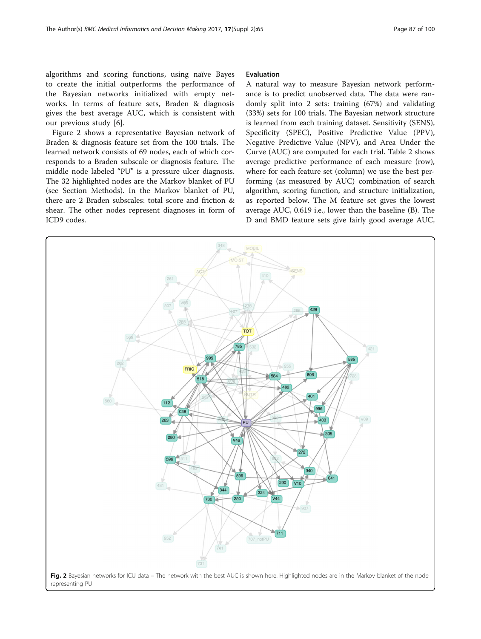<span id="page-6-0"></span>algorithms and scoring functions, using naïve Bayes to create the initial outperforms the performance of the Bayesian networks initialized with empty networks. In terms of feature sets, Braden & diagnosis gives the best average AUC, which is consistent with our previous study [[6\]](#page-10-0).

Figure 2 shows a representative Bayesian network of Braden & diagnosis feature set from the 100 trials. The learned network consists of 69 nodes, each of which corresponds to a Braden subscale or diagnosis feature. The middle node labeled "PU" is a pressure ulcer diagnosis. The 32 highlighted nodes are the Markov blanket of PU (see Section [Methods\)](#page-2-0). In the Markov blanket of PU, there are 2 Braden subscales: total score and friction & shear. The other nodes represent diagnoses in form of ICD9 codes.

#### Evaluation

A natural way to measure Bayesian network performance is to predict unobserved data. The data were randomly split into 2 sets: training (67%) and validating (33%) sets for 100 trials. The Bayesian network structure is learned from each training dataset. Sensitivity (SENS), Specificity (SPEC), Positive Predictive Value (PPV), Negative Predictive Value (NPV), and Area Under the Curve (AUC) are computed for each trial. Table [2](#page-7-0) shows average predictive performance of each measure (row), where for each feature set (column) we use the best performing (as measured by AUC) combination of search algorithm, scoring function, and structure initialization, as reported below. The M feature set gives the lowest average AUC, 0.619 i.e., lower than the baseline (B). The D and BMD feature sets give fairly good average AUC,

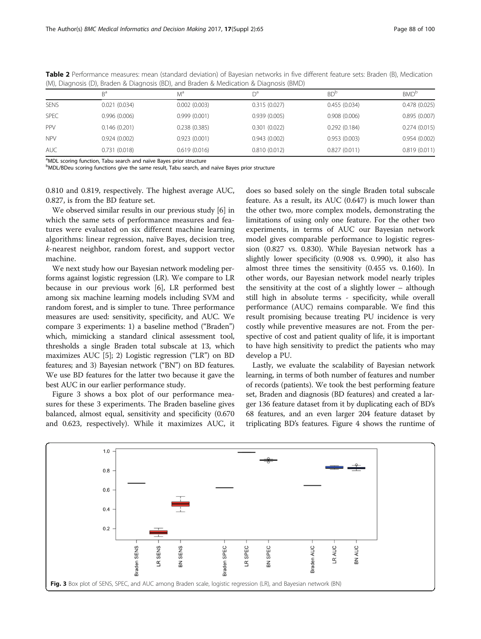|             | $B^a$        | $M^d$        | $\bigcap^a$  | BD <sup>D</sup> | <b>BMD</b> <sup>b</sup> |  |
|-------------|--------------|--------------|--------------|-----------------|-------------------------|--|
| <b>SENS</b> | 0.021(0.034) | 0.002(0.003) | 0.315(0.027) | 0.455(0.034)    | 0.478(0.025)            |  |
| <b>SPEC</b> | 0.996(0.006) | 0.999(0.001) | 0.939(0.005) | 0.908(0.006)    | 0.895(0.007)            |  |
| PPV         | 0.146(0.201) | 0.238(0.385) | 0.301(0.022) | 0.292(0.184)    | 0.274(0.015)            |  |
| <b>NPV</b>  | 0.924(0.002) | 0.923(0.001) | 0.943(0.002) | 0.953(0.003)    | 0.954(0.002)            |  |
| AUC         | 0.731(0.018) | 0.619(0.016) | 0.810(0.012) | 0.827(0.011)    | 0.819(0.011)            |  |

<span id="page-7-0"></span>Table 2 Performance measures: mean (standard deviation) of Bayesian networks in five different feature sets: Braden (B), Medication (M), Diagnosis (D), Braden & Diagnosis (BD), and Braden & Medication & Diagnosis (BMD)

<sup>a</sup>MDL scoring function, Tabu search and naïve Bayes prior structure

<sup>b</sup>MDL/BDeu scoring functions give the same result, Tabu search, and naïve Bayes prior structure

0.810 and 0.819, respectively. The highest average AUC, 0.827, is from the BD feature set.

We observed similar results in our previous study [[6\]](#page-10-0) in which the same sets of performance measures and features were evaluated on six different machine learning algorithms: linear regression, naïve Bayes, decision tree, k-nearest neighbor, random forest, and support vector machine.

We next study how our Bayesian network modeling performs against logistic regression (LR). We compare to LR because in our previous work [[6](#page-10-0)], LR performed best among six machine learning models including SVM and random forest, and is simpler to tune. Three performance measures are used: sensitivity, specificity, and AUC. We compare 3 experiments: 1) a baseline method ("Braden") which, mimicking a standard clinical assessment tool, thresholds a single Braden total subscale at 13, which maximizes AUC [\[5](#page-10-0)]; 2) Logistic regression ("LR") on BD features; and 3) Bayesian network ("BN") on BD features. We use BD features for the latter two because it gave the best AUC in our earlier performance study.

Figure 3 shows a box plot of our performance measures for these 3 experiments. The Braden baseline gives balanced, almost equal, sensitivity and specificity (0.670 and 0.623, respectively). While it maximizes AUC, it

does so based solely on the single Braden total subscale feature. As a result, its AUC (0.647) is much lower than the other two, more complex models, demonstrating the limitations of using only one feature. For the other two experiments, in terms of AUC our Bayesian network model gives comparable performance to logistic regression (0.827 vs. 0.830). While Bayesian network has a slightly lower specificity (0.908 vs. 0.990), it also has almost three times the sensitivity (0.455 vs. 0.160). In other words, our Bayesian network model nearly triples the sensitivity at the cost of a slightly lower – although still high in absolute terms - specificity, while overall performance (AUC) remains comparable. We find this result promising because treating PU incidence is very costly while preventive measures are not. From the perspective of cost and patient quality of life, it is important to have high sensitivity to predict the patients who may develop a PU.

Lastly, we evaluate the scalability of Bayesian network learning, in terms of both number of features and number of records (patients). We took the best performing feature set, Braden and diagnosis (BD features) and created a larger 136 feature dataset from it by duplicating each of BD's 68 features, and an even larger 204 feature dataset by triplicating BD's features. Figure [4](#page-8-0) shows the runtime of

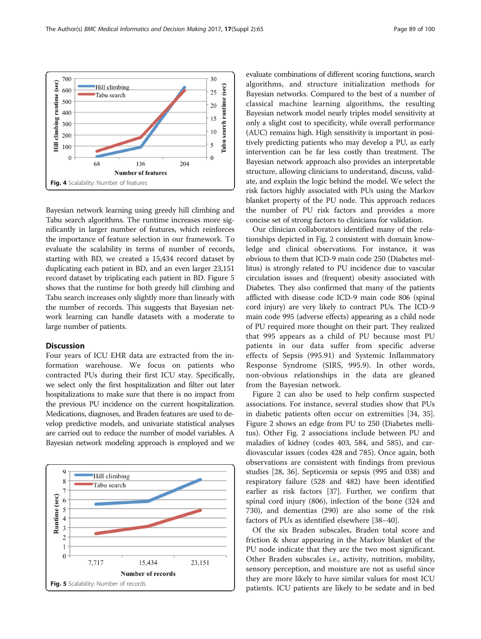Bayesian network learning using greedy hill climbing and Tabu search algorithms. The runtime increases more significantly in larger number of features, which reinforces the importance of feature selection in our framework. To evaluate the scalability in terms of number of records, starting with BD, we created a 15,434 record dataset by duplicating each patient in BD, and an even larger 23,151 record dataset by triplicating each patient in BD. Figure 5 shows that the runtime for both greedy hill climbing and Tabu search increases only slightly more than linearly with the number of records. This suggests that Bayesian network learning can handle datasets with a moderate to large number of patients.

136

**Number of features** 

Fig. 4 Scalability: Number of features

68

Hill climbing

Tabu search

700

600

500

400

300

200

100

 $\boldsymbol{0}$ 

<span id="page-8-0"></span>(sec)

Hill climbing runtime

### Discussion

Four years of ICU EHR data are extracted from the information warehouse. We focus on patients who contracted PUs during their first ICU stay. Specifically, we select only the first hospitalization and filter out later hospitalizations to make sure that there is no impact from the previous PU incidence on the current hospitalization. Medications, diagnoses, and Braden features are used to develop predictive models, and univariate statistical analyses are carried out to reduce the number of model variables. A Bayesian network modeling approach is employed and we

# algorithms, and structure initialization methods for Bayesian networks. Compared to the best of a number of classical machine learning algorithms, the resulting Bayesian network model nearly triples model sensitivity at only a slight cost to specificity, while overall performance (AUC) remains high. High sensitivity is important in positively predicting patients who may develop a PU, as early intervention can be far less costly than treatment. The Bayesian network approach also provides an interpretable structure, allowing clinicians to understand, discuss, validate, and explain the logic behind the model. We select the risk factors highly associated with PUs using the Markov blanket property of the PU node. This approach reduces the number of PU risk factors and provides a more concise set of strong factors to clinicians for validation.

evaluate combinations of different scoring functions, search

Our clinician collaborators identified many of the relationships depicted in Fig. [2](#page-6-0) consistent with domain knowledge and clinical observations. For instance, it was obvious to them that ICD-9 main code 250 (Diabetes mellitus) is strongly related to PU incidence due to vascular circulation issues and (frequent) obesity associated with Diabetes. They also confirmed that many of the patients afflicted with disease code ICD-9 main code 806 (spinal cord injury) are very likely to contract PUs. The ICD-9 main code 995 (adverse effects) appearing as a child node of PU required more thought on their part. They realized that 995 appears as a child of PU because most PU patients in our data suffer from specific adverse effects of Sepsis (995.91) and Systemic Inflammatory Response Syndrome (SIRS, 995.9). In other words, non-obvious relationships in the data are gleaned from the Bayesian network.

Figure [2](#page-6-0) can also be used to help confirm suspected associations. For instance, several studies show that PUs in diabetic patients often occur on extremities [\[34](#page-10-0), [35](#page-10-0)]. Figure [2](#page-6-0) shows an edge from PU to 250 (Diabetes mellitus). Other Fig. [2](#page-6-0) associations include between PU and maladies of kidney (codes 403, 584, and 585), and cardiovascular issues (codes 428 and 785). Once again, both observations are consistent with findings from previous studies [[28, 36](#page-10-0)]. Septicemia or sepsis (995 and 038) and respiratory failure (528 and 482) have been identified earlier as risk factors [[37\]](#page-10-0). Further, we confirm that spinal cord injury (806), infection of the bone (324 and 730), and dementias (290) are also some of the risk factors of PUs as identified elsewhere [[38](#page-10-0)–[40](#page-10-0)].

Of the six Braden subscales, Braden total score and friction & shear appearing in the Markov blanket of the PU node indicate that they are the two most significant. Other Braden subscales i.e., activity, nutrition, mobility, sensory perception, and moisture are not as useful since they are more likely to have similar values for most ICU patients. ICU patients are likely to be sedate and in bed



30

 $25$ 

20

 $15$ 

 $10$ 

5

 $\overline{0}$ 

204

(sec)

Tabu search runtime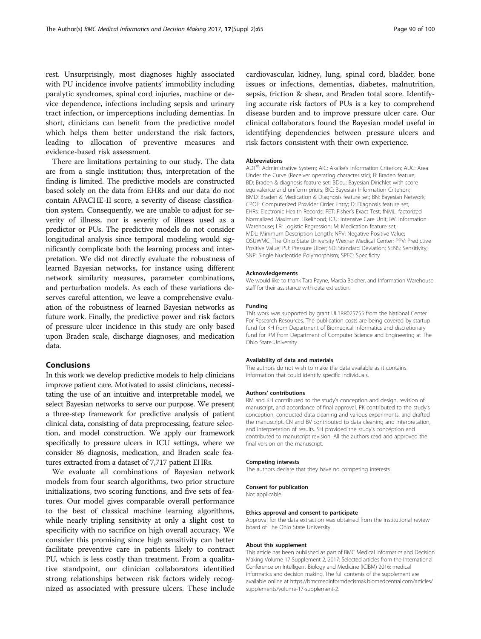rest. Unsurprisingly, most diagnoses highly associated with PU incidence involve patients' immobility including paralytic syndromes, spinal cord injuries, machine or device dependence, infections including sepsis and urinary tract infection, or imperceptions including dementias. In short, clinicians can benefit from the predictive model which helps them better understand the risk factors, leading to allocation of preventive measures and evidence-based risk assessment.

There are limitations pertaining to our study. The data are from a single institution; thus, interpretation of the finding is limited. The predictive models are constructed based solely on the data from EHRs and our data do not contain APACHE-II score, a severity of disease classification system. Consequently, we are unable to adjust for severity of illness, nor is severity of illness used as a predictor or PUs. The predictive models do not consider longitudinal analysis since temporal modeling would significantly complicate both the learning process and interpretation. We did not directly evaluate the robustness of learned Bayesian networks, for instance using different network similarity measures, parameter combinations, and perturbation models. As each of these variations deserves careful attention, we leave a comprehensive evaluation of the robustness of learned Bayesian networks as future work. Finally, the predictive power and risk factors of pressure ulcer incidence in this study are only based upon Braden scale, discharge diagnoses, and medication data.

# Conclusions

In this work we develop predictive models to help clinicians improve patient care. Motivated to assist clinicians, necessitating the use of an intuitive and interpretable model, we select Bayesian networks to serve our purpose. We present a three-step framework for predictive analysis of patient clinical data, consisting of data preprocessing, feature selection, and model construction. We apply our framework specifically to pressure ulcers in ICU settings, where we consider 86 diagnosis, medication, and Braden scale features extracted from a dataset of 7,717 patient EHRs.

We evaluate all combinations of Bayesian network models from four search algorithms, two prior structure initializations, two scoring functions, and five sets of features. Our model gives comparable overall performance to the best of classical machine learning algorithms, while nearly tripling sensitivity at only a slight cost to specificity with no sacrifice on high overall accuracy. We consider this promising since high sensitivity can better facilitate preventive care in patients likely to contract PU, which is less costly than treatment. From a qualitative standpoint, our clinician collaborators identified strong relationships between risk factors widely recognized as associated with pressure ulcers. These include

cardiovascular, kidney, lung, spinal cord, bladder, bone issues or infections, dementias, diabetes, malnutrition, sepsis, friction & shear, and Braden total score. Identifying accurate risk factors of PUs is a key to comprehend disease burden and to improve pressure ulcer care. Our clinical collaborators found the Bayesian model useful in identifying dependencies between pressure ulcers and risk factors consistent with their own experience.

#### Abbreviations

ADT<sup>®</sup>: Administrative System; AIC: Akaike's Information Criterion; AUC: Area Under the Curve (Receiver operating characteristic); B: Braden feature; BD: Braden & diagnosis feature set; BDeu: Bayesian Dirichlet with score equivalence and uniform priors; BIC: Bayesian Information Criterion; BMD: Braden & Medication & Diagnosis feature set; BN: Bayesian Network; CPOE: Computerized Provider Order Entry; D: Diagnosis feature set; EHRs: Electronic Health Records; FET: Fisher's Exact Test; fNML: factorized Normalized Maximum Likelihood; ICU: Intensive Care Unit; IW: Information Warehouse: LR: Logistic Regression: M: Medication feature set: MDL: Minimum Description Length; NPV: Negative Positive Value; OSUWMC: The Ohio State University Wexner Medical Center; PPV: Predictive Positive Value; PU: Pressure Ulcer; SD: Standard Deviation; SENS: Sensitivity; SNP: Single Nucleotide Polymorphism; SPEC: Specificity

#### Acknowledgements

We would like to thank Tara Payne, Marcia Belcher, and Information Warehouse staff for their assistance with data extraction.

#### Funding

This work was supported by grant UL1RR025755 from the National Center For Research Resources. The publication costs are being covered by startup fund for KH from Department of Biomedical Informatics and discretionary fund for RM from Department of Computer Science and Engineering at The Ohio State University.

#### Availability of data and materials

The authors do not wish to make the data available as it contains information that could identify specific individuals.

#### Authors' contributions

RM and KH contributed to the study's conception and design, revision of manuscript, and accordance of final approval. PK contributed to the study's conception, conducted data cleaning and various experiments, and drafted the manuscript. CN and BV contributed to data cleaning and interpretation, and interpretation of results. SH provided the study's conception and contributed to manuscript revision. All the authors read and approved the final version on the manuscript.

#### Competing interests

The authors declare that they have no competing interests.

#### Consent for publication

Not applicable.

#### Ethics approval and consent to participate

Approval for the data extraction was obtained from the institutional review board of The Ohio State University.

#### About this supplement

This article has been published as part of BMC Medical Informatics and Decision Making Volume 17 Supplement 2, 2017: Selected articles from the International Conference on Intelligent Biology and Medicine (ICIBM) 2016: medical informatics and decision making. The full contents of the supplement are available online at [https://bmcmedinformdecismak.biomedcentral.com/articles/](https://bmcmedinformdecismak.biomedcentral.com/articles/supplements/volume-17-supplement-2) [supplements/volume-17-supplement-2.](https://bmcmedinformdecismak.biomedcentral.com/articles/supplements/volume-17-supplement-2)